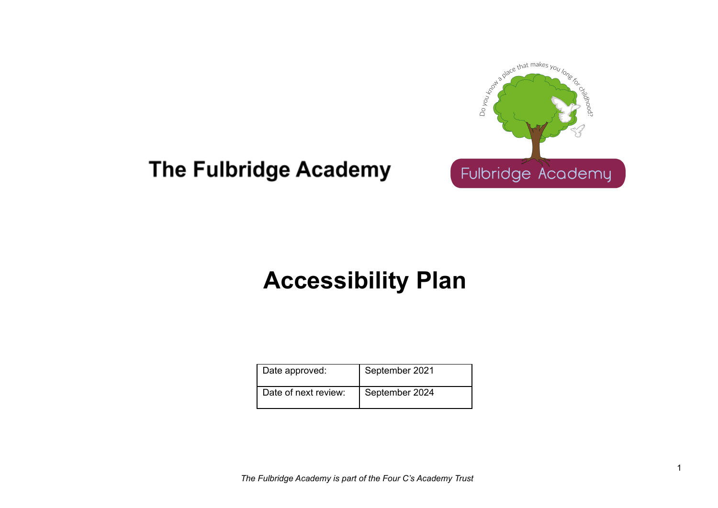

## **The Fulbridge Academy**

# **Accessibility Plan**

| Date approved:       | September 2021 |
|----------------------|----------------|
| Date of next review: | September 2024 |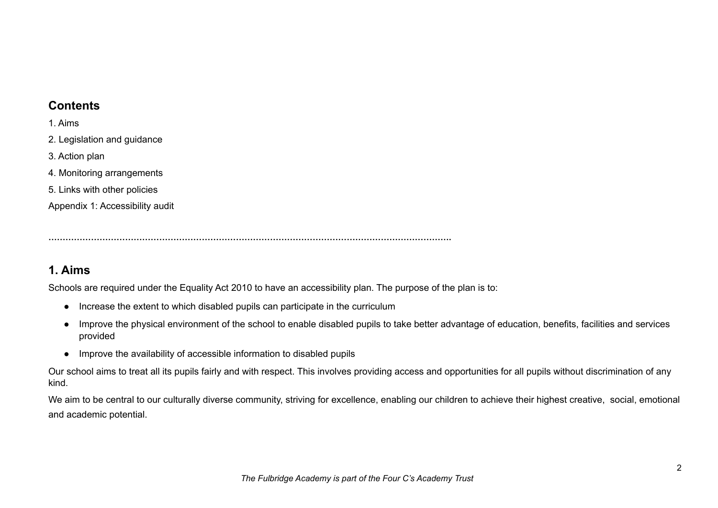#### **Contents**

1. Aims

- 2. Legislation and guidance
- 3. Action plan
- 4. Monitoring arrangements
- 5. Links with other policies

Appendix 1: Accessibility audit

**…………………………………………………………………………………………………………………………….**

#### **1. Aims**

Schools are required under the Equality Act 2010 to have an accessibility plan. The purpose of the plan is to:

- Increase the extent to which disabled pupils can participate in the curriculum
- Improve the physical environment of the school to enable disabled pupils to take better advantage of education, benefits, facilities and services provided
- Improve the availability of accessible information to disabled pupils

Our school aims to treat all its pupils fairly and with respect. This involves providing access and opportunities for all pupils without discrimination of any kind.

We aim to be central to our culturally diverse community, striving for excellence, enabling our children to achieve their highest creative, social, emotional and academic potential.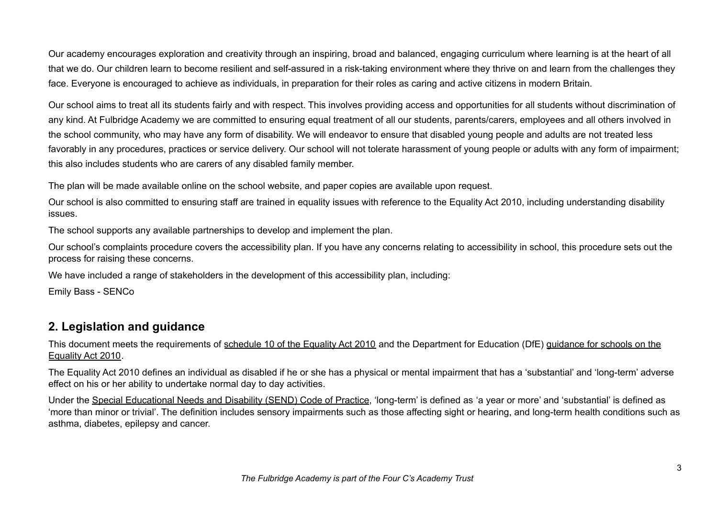Our academy encourages exploration and creativity through an inspiring, broad and balanced, engaging curriculum where learning is at the heart of all that we do. Our children learn to become resilient and self-assured in a risk-taking environment where they thrive on and learn from the challenges they face. Everyone is encouraged to achieve as individuals, in preparation for their roles as caring and active citizens in modern Britain.

Our school aims to treat all its students fairly and with respect. This involves providing access and opportunities for all students without discrimination of any kind. At Fulbridge Academy we are committed to ensuring equal treatment of all our students, parents/carers, employees and all others involved in the school community, who may have any form of disability. We will endeavor to ensure that disabled young people and adults are not treated less favorably in any procedures, practices or service delivery. Our school will not tolerate harassment of young people or adults with any form of impairment; this also includes students who are carers of any disabled family member.

The plan will be made available online on the school website, and paper copies are available upon request.

Our school is also committed to ensuring staff are trained in equality issues with reference to the Equality Act 2010, including understanding disability issues.

The school supports any available partnerships to develop and implement the plan.

Our school's complaints procedure covers the accessibility plan. If you have any concerns relating to accessibility in school, this procedure sets out the process for raising these concerns.

We have included a range of stakeholders in the development of this accessibility plan, including:

Emily Bass - SENCo

#### **2. Legislation and guidance**

This document meets the requirements of [schedule](http://www.legislation.gov.uk/ukpga/2010/15/schedule/10) 10 of the Equality Act 2010 and the Department for Education (DfE) [guidance](https://www.gov.uk/government/publications/equality-act-2010-advice-for-schools) for schools on the [Equality](https://www.gov.uk/government/publications/equality-act-2010-advice-for-schools) Act 2010.

The Equality Act 2010 defines an individual as disabled if he or she has a physical or mental impairment that has a 'substantial' and 'long-term' adverse effect on his or her ability to undertake normal day to day activities.

Under the Special [Educational](https://www.gov.uk/government/publications/send-code-of-practice-0-to-25) Needs and Disability (SEND) Code of Practice, 'long-term' is defined as 'a year or more' and 'substantial' is defined as 'more than minor or trivial'. The definition includes sensory impairments such as those affecting sight or hearing, and long-term health conditions such as asthma, diabetes, epilepsy and cancer.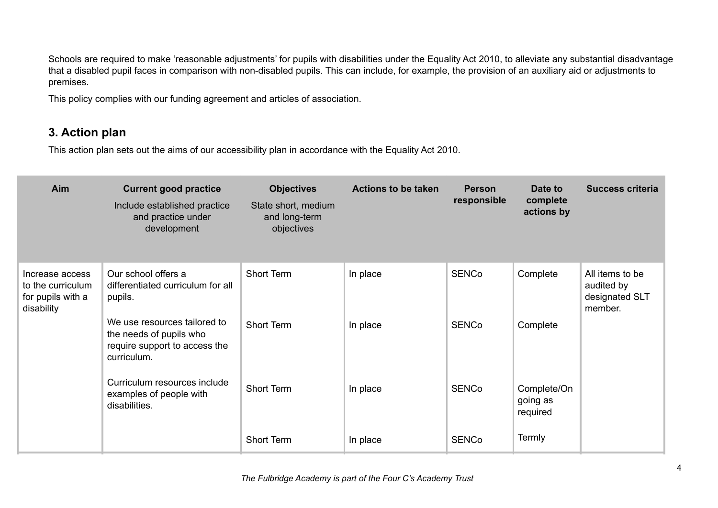Schools are required to make 'reasonable adjustments' for pupils with disabilities under the Equality Act 2010, to alleviate any substantial disadvantage that a disabled pupil faces in comparison with non-disabled pupils. This can include, for example, the provision of an auxiliary aid or adjustments to premises.

This policy complies with our funding agreement and articles of association.

#### **3. Action plan**

This action plan sets out the aims of our accessibility plan in accordance with the Equality Act 2010.

| Aim                                                                     | <b>Current good practice</b><br>Include established practice<br>and practice under<br>development       | <b>Objectives</b><br>State short, medium<br>and long-term<br>objectives | <b>Actions to be taken</b> | <b>Person</b><br>responsible | Date to<br>complete<br>actions by   | <b>Success criteria</b>                                    |
|-------------------------------------------------------------------------|---------------------------------------------------------------------------------------------------------|-------------------------------------------------------------------------|----------------------------|------------------------------|-------------------------------------|------------------------------------------------------------|
| Increase access<br>to the curriculum<br>for pupils with a<br>disability | Our school offers a<br>differentiated curriculum for all<br>pupils.                                     | Short Term                                                              | In place                   | <b>SENCo</b>                 | Complete                            | All items to be<br>audited by<br>designated SLT<br>member. |
|                                                                         | We use resources tailored to<br>the needs of pupils who<br>require support to access the<br>curriculum. | <b>Short Term</b>                                                       | In place                   | <b>SENCo</b>                 | Complete                            |                                                            |
|                                                                         | Curriculum resources include<br>examples of people with<br>disabilities.                                | Short Term                                                              | In place                   | <b>SENCo</b>                 | Complete/On<br>going as<br>required |                                                            |
|                                                                         |                                                                                                         | Short Term                                                              | In place                   | <b>SENCo</b>                 | <b>Termly</b>                       |                                                            |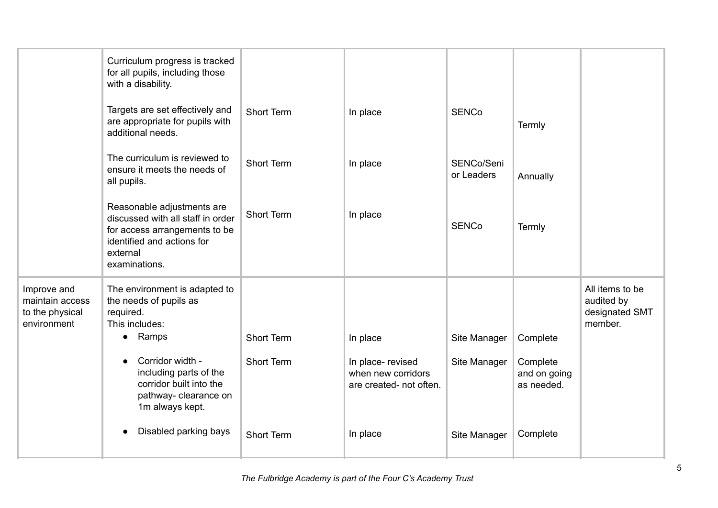|                                                                  | Curriculum progress is tracked<br>for all pupils, including those<br>with a disability.                                                                     |                                        |                                                                                |                              |                                                    |                                                            |
|------------------------------------------------------------------|-------------------------------------------------------------------------------------------------------------------------------------------------------------|----------------------------------------|--------------------------------------------------------------------------------|------------------------------|----------------------------------------------------|------------------------------------------------------------|
|                                                                  | Targets are set effectively and<br>are appropriate for pupils with<br>additional needs.                                                                     | <b>Short Term</b>                      | In place                                                                       | <b>SENCo</b>                 | Termly                                             |                                                            |
|                                                                  | The curriculum is reviewed to<br>ensure it meets the needs of<br>all pupils.                                                                                | <b>Short Term</b>                      | In place                                                                       | SENCo/Seni<br>or Leaders     | Annually                                           |                                                            |
|                                                                  | Reasonable adjustments are<br>discussed with all staff in order<br>for access arrangements to be<br>identified and actions for<br>external<br>examinations. | <b>Short Term</b>                      | In place                                                                       | <b>SENCo</b>                 | Termly                                             |                                                            |
| Improve and<br>maintain access<br>to the physical<br>environment | The environment is adapted to<br>the needs of pupils as<br>required.<br>This includes:                                                                      |                                        |                                                                                |                              |                                                    | All items to be<br>audited by<br>designated SMT<br>member. |
|                                                                  | • Ramps<br>Corridor width -<br>$\bullet$<br>including parts of the<br>corridor built into the<br>pathway- clearance on<br>1m always kept.                   | <b>Short Term</b><br><b>Short Term</b> | In place<br>In place- revised<br>when new corridors<br>are created- not often. | Site Manager<br>Site Manager | Complete<br>Complete<br>and on going<br>as needed. |                                                            |
|                                                                  | Disabled parking bays                                                                                                                                       | <b>Short Term</b>                      | In place                                                                       | Site Manager                 | Complete                                           |                                                            |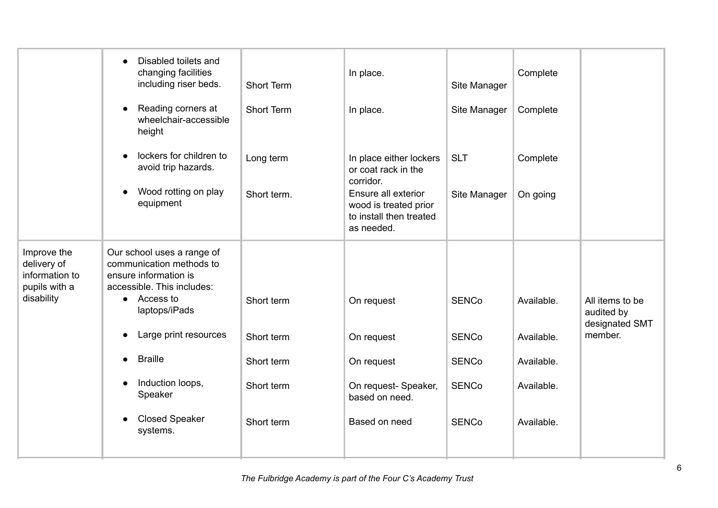|                                                                             | Disabled toilets and<br>$\bullet$<br>changing facilities<br>including riser beds.<br>Reading corners at<br>$\bullet$<br>wheelchair-accessible                                                                                                                                                                    | Short Term<br><b>Short Term</b>                                    | In place.<br>In place.                                                                                                                               | Site Manager<br>Site Manager                                                 | Complete<br>Complete                                               |                                                            |
|-----------------------------------------------------------------------------|------------------------------------------------------------------------------------------------------------------------------------------------------------------------------------------------------------------------------------------------------------------------------------------------------------------|--------------------------------------------------------------------|------------------------------------------------------------------------------------------------------------------------------------------------------|------------------------------------------------------------------------------|--------------------------------------------------------------------|------------------------------------------------------------|
|                                                                             | height<br>lockers for children to<br>$\bullet$<br>avoid trip hazards.<br>Wood rotting on play<br>$\bullet$<br>equipment                                                                                                                                                                                          | Long term<br>Short term.                                           | In place either lockers<br>or coat rack in the<br>corridor.<br>Ensure all exterior<br>wood is treated prior<br>to install then treated<br>as needed. | <b>SLT</b><br>Site Manager                                                   | Complete<br>On going                                               |                                                            |
| Improve the<br>delivery of<br>information to<br>pupils with a<br>disability | Our school uses a range of<br>communication methods to<br>ensure information is<br>accessible. This includes:<br>• Access to<br>laptops/iPads<br>Large print resources<br>$\bullet$<br><b>Braille</b><br>$\bullet$<br>Induction loops,<br>$\bullet$<br>Speaker<br><b>Closed Speaker</b><br>$\bullet$<br>systems. | Short term<br>Short term<br>Short term<br>Short term<br>Short term | On request<br>On request<br>On request<br>On request- Speaker,<br>based on need.<br>Based on need                                                    | <b>SENCo</b><br><b>SENCo</b><br><b>SENCo</b><br><b>SENCo</b><br><b>SENCo</b> | Available.<br>Available.<br>Available.<br>Available.<br>Available. | All items to be<br>audited by<br>designated SMT<br>member. |
|                                                                             |                                                                                                                                                                                                                                                                                                                  |                                                                    |                                                                                                                                                      |                                                                              |                                                                    |                                                            |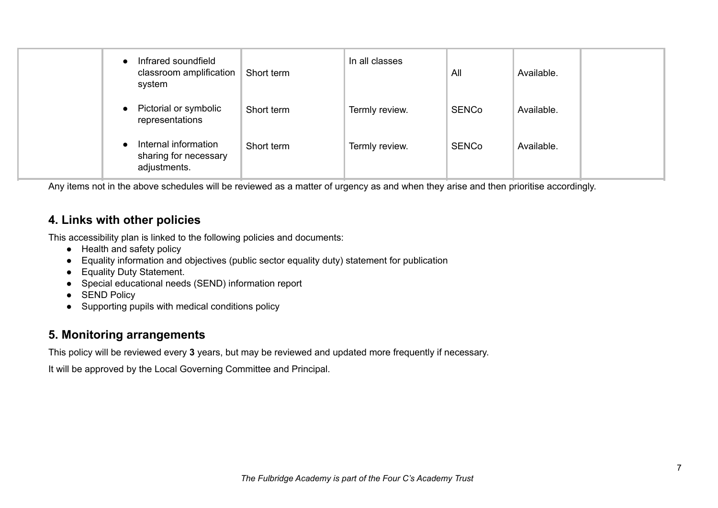|           | Infrared soundfield<br>classroom amplification<br>system      | Short term | In all classes | All          | Available. |  |
|-----------|---------------------------------------------------------------|------------|----------------|--------------|------------|--|
| $\bullet$ | Pictorial or symbolic<br>representations                      | Short term | Termly review. | <b>SENCo</b> | Available. |  |
|           | Internal information<br>sharing for necessary<br>adjustments. | Short term | Termly review. | <b>SENCo</b> | Available. |  |

Any items not in the above schedules will be reviewed as a matter of urgency as and when they arise and then prioritise accordingly.

#### **4. Links with other policies**

This accessibility plan is linked to the following policies and documents:

- Health and safety policy
- Equality information and objectives (public sector equality duty) statement for publication
- Equality Duty Statement.
- Special educational needs (SEND) information report
- SEND Policy
- Supporting pupils with medical conditions policy

#### **5. Monitoring arrangements**

This policy will be reviewed every **3** years, but may be reviewed and updated more frequently if necessary.

It will be approved by the Local Governing Committee and Principal.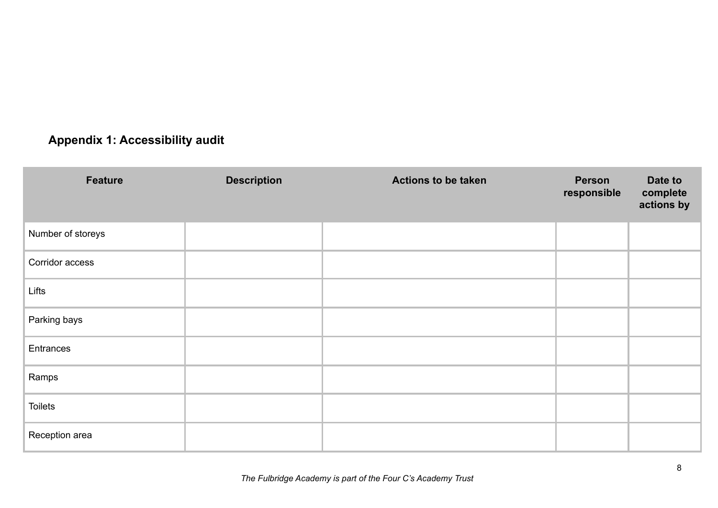### **Appendix 1: Accessibility audit**

| Feature           | <b>Description</b> | <b>Actions to be taken</b> | Person<br>responsible | Date to<br>complete<br>actions by |
|-------------------|--------------------|----------------------------|-----------------------|-----------------------------------|
| Number of storeys |                    |                            |                       |                                   |
| Corridor access   |                    |                            |                       |                                   |
| Lifts             |                    |                            |                       |                                   |
| Parking bays      |                    |                            |                       |                                   |
| Entrances         |                    |                            |                       |                                   |
| Ramps             |                    |                            |                       |                                   |
| <b>Toilets</b>    |                    |                            |                       |                                   |
| Reception area    |                    |                            |                       |                                   |